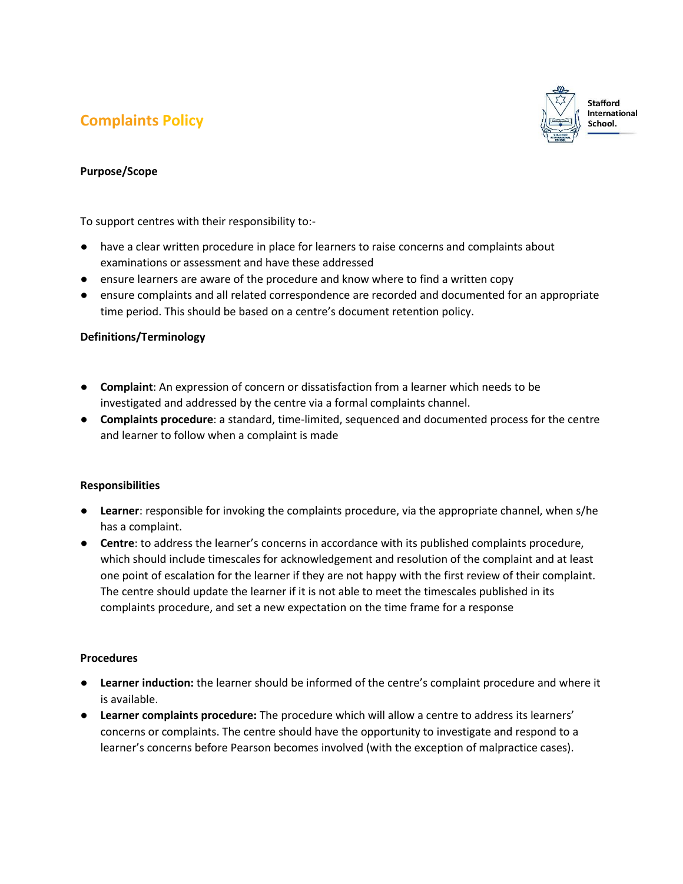# **Complaints Policy**



## **Purpose/Scope**

To support centres with their responsibility to:-

- have a clear written procedure in place for learners to raise concerns and complaints about examinations or assessment and have these addressed
- ensure learners are aware of the procedure and know where to find a written copy
- ensure complaints and all related correspondence are recorded and documented for an appropriate time period. This should be based on a centre's document retention policy.

# **Definitions/Terminology**

- **Complaint**: An expression of concern or dissatisfaction from a learner which needs to be investigated and addressed by the centre via a formal complaints channel.
- **Complaints procedure**: a standard, time-limited, sequenced and documented process for the centre and learner to follow when a complaint is made

## **Responsibilities**

- **Learner**: responsible for invoking the complaints procedure, via the appropriate channel, when s/he has a complaint.
- **Centre**: to address the learner's concerns in accordance with its published complaints procedure, which should include timescales for acknowledgement and resolution of the complaint and at least one point of escalation for the learner if they are not happy with the first review of their complaint. The centre should update the learner if it is not able to meet the timescales published in its complaints procedure, and set a new expectation on the time frame for a response

## **Procedures**

- **Learner induction:** the learner should be informed of the centre's complaint procedure and where it is available.
- **Learner complaints procedure:** The procedure which will allow a centre to address its learners' concerns or complaints. The centre should have the opportunity to investigate and respond to a learner's concerns before Pearson becomes involved (with the exception of malpractice cases).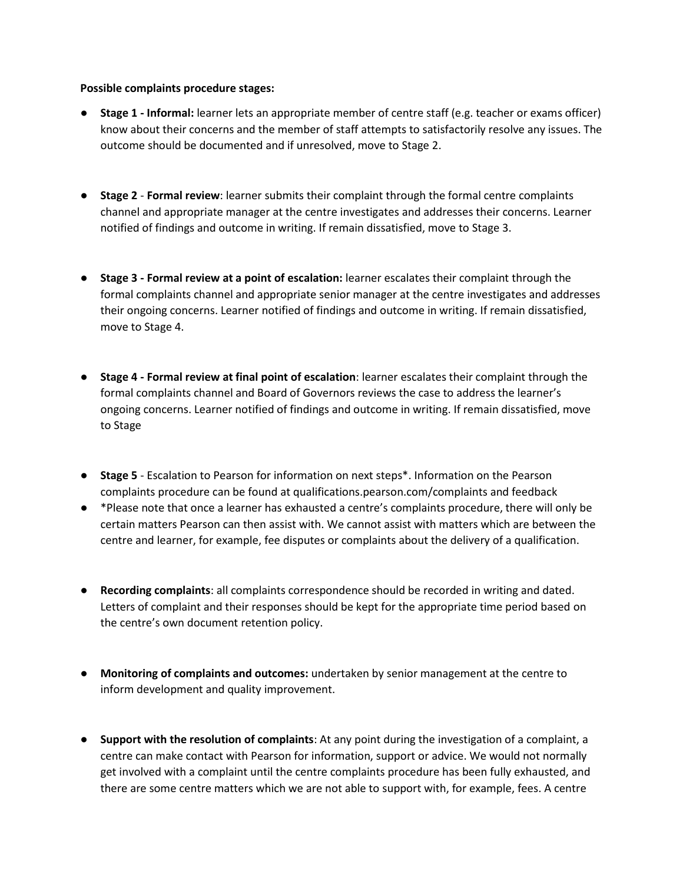#### **Possible complaints procedure stages:**

- **Stage 1 - Informal:** learner lets an appropriate member of centre staff (e.g. teacher or exams officer) know about their concerns and the member of staff attempts to satisfactorily resolve any issues. The outcome should be documented and if unresolved, move to Stage 2.
- **Stage 2 Formal review**: learner submits their complaint through the formal centre complaints channel and appropriate manager at the centre investigates and addresses their concerns. Learner notified of findings and outcome in writing. If remain dissatisfied, move to Stage 3.
- **Stage 3 - Formal review at a point of escalation:** learner escalates their complaint through the formal complaints channel and appropriate senior manager at the centre investigates and addresses their ongoing concerns. Learner notified of findings and outcome in writing. If remain dissatisfied, move to Stage 4.
- **Stage 4 - Formal review at final point of escalation**: learner escalates their complaint through the formal complaints channel and Board of Governors reviews the case to address the learner's ongoing concerns. Learner notified of findings and outcome in writing. If remain dissatisfied, move to Stage
- **Stage 5** Escalation to Pearson for information on next steps<sup>\*</sup>. Information on the Pearson complaints procedure can be found at qualifications.pearson.com/complaints and feedback
- \*Please note that once a learner has exhausted a centre's complaints procedure, there will only be certain matters Pearson can then assist with. We cannot assist with matters which are between the centre and learner, for example, fee disputes or complaints about the delivery of a qualification.
- **Recording complaints**: all complaints correspondence should be recorded in writing and dated. Letters of complaint and their responses should be kept for the appropriate time period based on the centre's own document retention policy.
- **Monitoring of complaints and outcomes:** undertaken by senior management at the centre to inform development and quality improvement.
- **Support with the resolution of complaints**: At any point during the investigation of a complaint, a centre can make contact with Pearson for information, support or advice. We would not normally get involved with a complaint until the centre complaints procedure has been fully exhausted, and there are some centre matters which we are not able to support with, for example, fees. A centre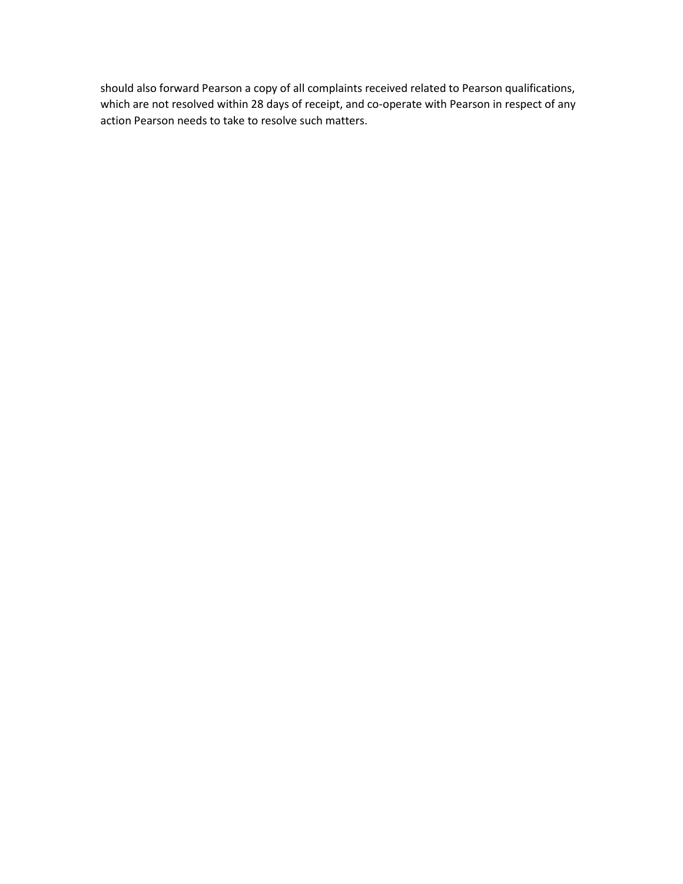should also forward Pearson a copy of all complaints received related to Pearson qualifications, which are not resolved within 28 days of receipt, and co-operate with Pearson in respect of any action Pearson needs to take to resolve such matters.